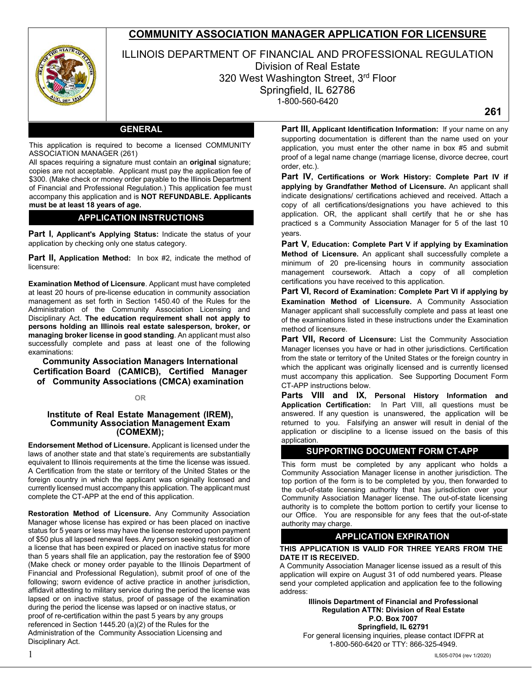# **COMMUNITY ASSOCIATION MANAGER APPLICATION FOR LICENSURE**



ILLINOIS DEPARTMENT OF FINANCIAL AND PROFESSIONAL REGULATION Division of Real Estate 320 West Washington Street, 3rd Floor Springfield, IL 62786 1-800-560-6420

**261**

### **GENERAL**

This application is required to become a licensed COMMUNITY ASSOCIATION MANAGER (261)

All spaces requiring a signature must contain an **original** signature; copies are not acceptable. Applicant must pay the application fee of \$300. (Make check or money order payable to the Illinois Department of Financial and Professional Regulation.) This application fee must accompany this application and is **NOT REFUNDABLE. Applicants must be at least 18 years of age.** 

### **APPLICATION INSTRUCTIONS**

**Part I, Applicant's Applying Status:** Indicate the status of your application by checking only one status category.

**Part II, Application Method:** In box #2, indicate the method of licensure:

**Examination Method of Licensure**. Applicant must have completed at least 20 hours of pre-license education in community association management as set forth in Section 1450.40 of the Rules for the Administration of the Community Association Licensing and Disciplinary Act. **The education requirement shall not apply to persons holding an Illinois real estate salesperson, broker, or managing broker license in good standing**. An applicant must also successfully complete and pass at least one of the following examinations:

**Community Association Managers International Certification Board (CAMICB), Certified Manager of Community Associations (CMCA) examination** 

#### **OR**

#### **Institute of Real Estate Management (IREM), Community Association Management Exam (COMEXM);**

**Endorsement Method of Licensure.** Applicant is licensed under the laws of another state and that state's requirements are substantially equivalent to Illinois requirements at the time the license was issued. A Certification from the state or territory of the United States or the foreign country in which the applicant was originally licensed and currently licensed must accompany this application. The applicant must complete the CT-APP at the end of this application.

**Restoration Method of Licensure.** Any Community Association Manager whose license has expired or has been placed on inactive status for 5 years or less may have the license restored upon payment of \$50 plus all lapsed renewal fees. Any person seeking restoration of a license that has been expired or placed on inactive status for more than 5 years shall file an application, pay the restoration fee of \$900 (Make check or money order payable to the Illinois Department of Financial and Professional Regulation), submit proof of one of the following; sworn evidence of active practice in another jurisdiction, affidavit attesting to military service during the period the license was lapsed or on inactive status, proof of passage of the examination during the period the license was lapsed or on inactive status, or proof of re-certification within the past 5 years by any groups referenced in Section 1445.20 (a)(2) of the Rules for the Administration of the Community Association Licensing and Disciplinary Act.

**Part III, Applicant Identification Information:** If your name on any supporting documentation is different than the name used on your application, you must enter the other name in box #5 and submit proof of a legal name change (marriage license, divorce decree, court order, etc.).

**Part IV, Certifications or Work History: Complete Part IV if applying by Grandfather Method of Licensure.** An applicant shall indicate designations/ certifications achieved and received. Attach a copy of all certifications/designations you have achieved to this application. OR, the applicant shall certify that he or she has practiced s a Community Association Manager for 5 of the last 10 years.

**Part V, Education: Complete Part V if applying by Examination Method of Licensure.** An applicant shall successfully complete a minimum of 20 pre-licensing hours in community association management coursework. Attach a copy of all completion certifications you have received to this application.

**Part VI, Record of Examination: Complete Part VI if applying by Examination Method of Licensure.** A Community Association Manager applicant shall successfully complete and pass at least one of the examinations listed in these instructions under the Examination method of licensure.

**Part VII, Record of Licensure:** List the Community Association Manager licenses you have or had in other jurisdictions. Certification from the state or territory of the United States or the foreign country in which the applicant was originally licensed and is currently licensed must accompany this application. See Supporting Document Form CT-APP instructions below.

**Parts VIII and IX, Personal History Information and Application Certification:** In Part VIII, all questions must be answered. If any question is unanswered, the application will be returned to you. Falsifying an answer will result in denial of the application or discipline to a license issued on the basis of this application.

### **SUPPORTING DOCUMENT FORM CT-APP**

This form must be completed by any applicant who holds a Community Association Manager license in another jurisdiction. The top portion of the form is to be completed by you, then forwarded to the out-of-state licensing authority that has jurisdiction over your Community Association Manager license. The out-of-state licensing authority is to complete the bottom portion to certify your license to our Office. You are responsible for any fees that the out-of-state authority may charge.

#### **APPLICATION EXPIRATION**

#### **THIS APPLICATION IS VALID FOR THREE YEARS FROM THE DATE IT IS RECEIVED.**

A Community Association Manager license issued as a result of this application will expire on August 31 of odd numbered years. Please send your completed application and application fee to the following address:

> **Illinois Department of Financial and Professional Regulation ATTN: Division of Real Estate P.O. Box 7007**

**Springfield, IL 62791**  For general licensing inquiries, please contact IDFPR at 1-800-560-6420 or TTY: 866-325-4949.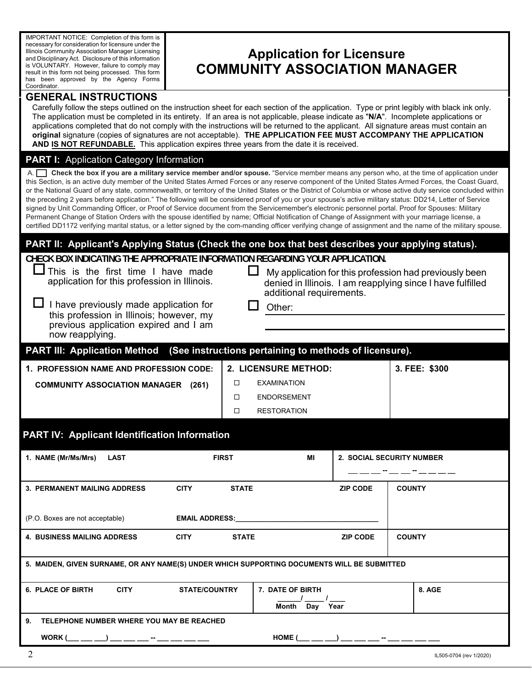IMPORTANT NOTICE: Completion of this form is necessary for consideration for licensure under the Illinois Community Association Manager Licensing and Disciplinary Act. Disclosure of this information is VOLUNTARY. However, failure to comply may result in this form not being processed. This form has been approved by the Agency Forms Coordinator.

# **Application for Licensure COMMUNITY ASSOCIATION MANAGER**

# **GENERAL INSTRUCTIONS**

Carefully follow the steps outlined on the instruction sheet for each section of the application. Type or print legibly with black ink only. The application must be completed in its entirety. If an area is not applicable, please indicate as "**N/A**". Incomplete applications or applications completed that do not comply with the instructions will be returned to the applicant. All signature areas must contain an **original** signature (copies of signatures are not acceptable). **THE APPLICATION FEE MUST ACCOMPANY THE APPLICATION AND IS NOT REFUNDABLE.** This application expires three years from the date it is received.

# **PART I:** Application Category Information

A. **Check the box if you are a military service member and/or spouse.** "Service member means any person who, at the time of application under this Section, is an active duty member of the United States Armed Forces or any reserve component of the United States Armed Forces, the Coast Guard, or the National Guard of any state, commonwealth, or territory of the United States or the District of Columbia or whose active duty service concluded within the preceding 2 years before application." The following will be considered proof of you or your spouse's active military status: DD214, Letter of Service signed by Unit Commanding Officer, or Proof of Service document from the Servicemember's electronic personnel portal. Proof for Spouses: Military Permanent Change of Station Orders with the spouse identified by name; Official Notification of Change of Assignment with your marriage license, a certified DD1172 verifying marital status, or a letter signed by the com-manding officer verifying change of assignment and the name of the military spouse.

# **PART II: Applicant's Applying Status (Check the one box that best describes your applying status).**

**CHECK BOX INDICATING THE APPROPRIATE INFORMATION REGARDING YOUR APPLICATION.**

|  |  |  |  | $\Box$ This is the first time I have made    |
|--|--|--|--|----------------------------------------------|
|  |  |  |  | application for this profession in Illinois. |

| $\Box$ I have previously made application for |
|-----------------------------------------------|
| this profession in Illinois; however, my      |
| previous application expired and I am         |
| now reapplying.                               |

 $\Box$  My application for this profession had previously been denied in Illinois. I am reapplying since I have fulfilled additional requirements.

Other:

 ENDORSEMENT **D** RESTORATION

| $\,$ PART III: Application Method $\,$ (See instructions pertaining to methods of licensure). $\,$ |                             |               |  |  |  |
|----------------------------------------------------------------------------------------------------|-----------------------------|---------------|--|--|--|
| 1. PROFESSION NAME AND PROFESSION CODE:                                                            | <b>2. LICENSURE METHOD:</b> | 3. FEE: \$300 |  |  |  |
| <b>COMMUNITY ASSOCIATION MANAGER</b><br>(261)                                                      | EXAMINATION                 |               |  |  |  |

**PART IV: Applicant Identification Information**

| 1. NAME (Mr/Ms/Mrs)<br><b>LAST</b>                                                                                                                                                                                                                                    | <b>FIRST</b>                | MI                                                                                                                                                                                                                                 |                 | 2. SOCIAL SECURITY NUMBER |  |  |
|-----------------------------------------------------------------------------------------------------------------------------------------------------------------------------------------------------------------------------------------------------------------------|-----------------------------|------------------------------------------------------------------------------------------------------------------------------------------------------------------------------------------------------------------------------------|-----------------|---------------------------|--|--|
|                                                                                                                                                                                                                                                                       |                             |                                                                                                                                                                                                                                    |                 |                           |  |  |
| <b>3. PERMANENT MAILING ADDRESS</b>                                                                                                                                                                                                                                   | <b>CITY</b><br><b>STATE</b> |                                                                                                                                                                                                                                    | <b>ZIP CODE</b> | <b>COUNTY</b>             |  |  |
|                                                                                                                                                                                                                                                                       |                             |                                                                                                                                                                                                                                    |                 |                           |  |  |
| (P.O. Boxes are not acceptable)                                                                                                                                                                                                                                       |                             | <b>EMAIL ADDRESS:</b> The contract of the contract of the contract of the contract of the contract of the contract of the contract of the contract of the contract of the contract of the contract of the contract of the contract |                 |                           |  |  |
| <b>4. BUSINESS MAILING ADDRESS</b>                                                                                                                                                                                                                                    | <b>CITY</b><br><b>STATE</b> |                                                                                                                                                                                                                                    | <b>ZIP CODE</b> | <b>COUNTY</b>             |  |  |
|                                                                                                                                                                                                                                                                       |                             |                                                                                                                                                                                                                                    |                 |                           |  |  |
| 5. MAIDEN, GIVEN SURNAME, OR ANY NAME(S) UNDER WHICH SUPPORTING DOCUMENTS WILL BE SUBMITTED                                                                                                                                                                           |                             |                                                                                                                                                                                                                                    |                 |                           |  |  |
| <b>CITY</b><br><b>6. PLACE OF BIRTH</b>                                                                                                                                                                                                                               | <b>STATE/COUNTRY</b>        | 7. DATE OF BIRTH                                                                                                                                                                                                                   |                 | 8. AGE                    |  |  |
|                                                                                                                                                                                                                                                                       |                             |                                                                                                                                                                                                                                    |                 |                           |  |  |
|                                                                                                                                                                                                                                                                       |                             | Month<br>Day Year                                                                                                                                                                                                                  |                 |                           |  |  |
| TELEPHONE NUMBER WHERE YOU MAY BE REACHED<br>9.                                                                                                                                                                                                                       |                             |                                                                                                                                                                                                                                    |                 |                           |  |  |
| WORK $(\_\_\_\_$ $\_\_$ $\_\_$ $\_\_$ $\_\_$ $\_\_$ $\_\_$ $\_\_$ $\_\_$ $\_\_$ $\_\_$ $\_\_$ $\_\_$ $\_\_$ $\_\_$ $\_\_$ $\_\_$ $\_\_$ $\_\_$ $\_\_$ $\_\_$ $\_\_$ $\_\_$ $\_\_$ $\_\_$ $\_\_$ $\_\_$ $\_\_$ $\_\_$ $\_\_$ $\_\_$ $\_\_$ $\_\_$ $\_\_$ $\_\_$ $\_\_$ |                             | HOME $(\_\_\_\_\_$ $\_\_$ $)$ $\_\_\_\_\_$ $\_\_$ $\_\_\_$ $\_\_$ $\_\_$                                                                                                                                                           |                 |                           |  |  |
| 2                                                                                                                                                                                                                                                                     |                             |                                                                                                                                                                                                                                    |                 | IL505-0704 (rev 1/2020)   |  |  |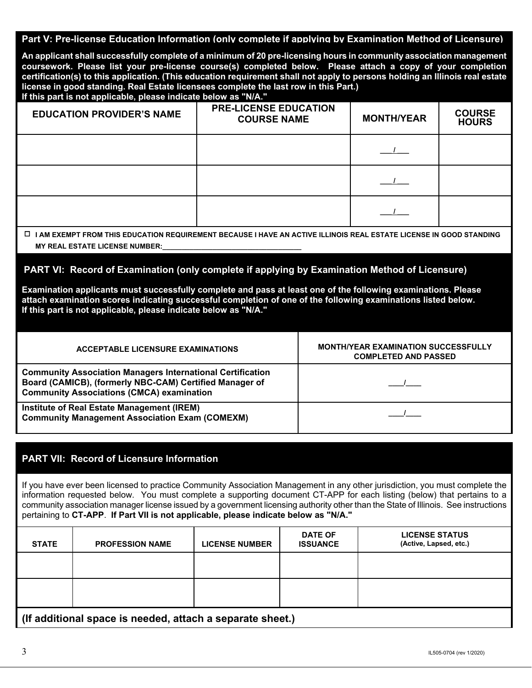### **Part V: Pre-license Education Information (only complete if applying by Examination Method of Licensure)**

**An applicant shall successfully complete of a minimum of 20 pre-licensing hours in community association management coursework. Please list your pre-license course(s) completed below. Please attach a copy of your completion certification(s) to this application. (This education requirement shall not apply to persons holding an Illinois real estate license in good standing. Real Estate licensees complete the last row in this Part.) If this part is not applicable, please indicate below as "N/A."**

| <b>EDUCATION PROVIDER'S NAME</b> | <b>PRE-LICENSE EDUCATION</b><br><b>COURSE NAME</b> | <b>MONTH/YEAR</b> | <b>COURSE</b><br><b>HOURS</b> |
|----------------------------------|----------------------------------------------------|-------------------|-------------------------------|
|                                  |                                                    |                   |                               |
|                                  |                                                    |                   |                               |
|                                  |                                                    |                   |                               |

### **MY REAL ESTATE LICENSE NUMBER:\_\_\_\_\_\_\_\_\_\_\_\_\_\_\_\_\_\_\_\_\_\_\_\_\_\_\_\_\_\_\_\_\_\_\_\_ I AM EXEMPT FROM THIS EDUCATION REQUIREMENT BECAUSE I HAVE AN ACTIVE ILLINOIS REAL ESTATE LICENSE IN GOOD STANDING**

### **PART VI: Record of Examination (only complete if applying by Examination Method of Licensure)**

**Examination applicants must successfully complete and pass at least one of the following examinations. Please attach examination scores indicating successful completion of one of the following examinations listed below. If this part is not applicable, please indicate below as "N/A."**

| ACCEPTABLE LICENSURE EXAMINATIONS                                                                                                                                                | <b>MONTH/YEAR EXAMINATION SUCCESSFULLY</b><br><b>COMPLETED AND PASSED</b> |
|----------------------------------------------------------------------------------------------------------------------------------------------------------------------------------|---------------------------------------------------------------------------|
| <b>Community Association Managers International Certification</b><br>Board (CAMICB), (formerly NBC-CAM) Certified Manager of<br><b>Community Associations (CMCA) examination</b> |                                                                           |
| Institute of Real Estate Management (IREM)<br><b>Community Management Association Exam (COMEXM)</b>                                                                              |                                                                           |

# **PART VII: Record of Licensure Information**

If you have ever been licensed to practice Community Association Management in any other jurisdiction, you must complete the information requested below. You must complete a supporting document CT-APP for each listing (below) that pertains to a community association manager license issued by a government licensing authority other than the State of Illinois. See instructions pertaining to **CT-APP**. **If Part VII is not applicable, please indicate below as "N/A."**

| <b>STATE</b> | <b>PROFESSION NAME</b>                                  | <b>LICENSE NUMBER</b> | <b>DATE OF</b><br><b>ISSUANCE</b> | <b>LICENSE STATUS</b><br>(Active, Lapsed, etc.) |
|--------------|---------------------------------------------------------|-----------------------|-----------------------------------|-------------------------------------------------|
|              |                                                         |                       |                                   |                                                 |
|              |                                                         |                       |                                   |                                                 |
|              | (If additional space is needed attach a separate sheet) |                       |                                   |                                                 |

**(If additional space is needed, attach a separate sheet.)**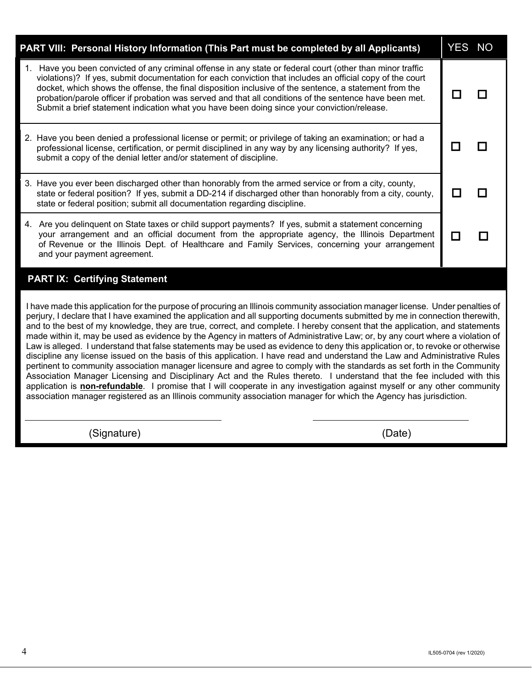| PART VIII: Personal History Information (This Part must be completed by all Applicants)                                                                                                                                                                                                                                                                                                                                                                                                                                                                                                                                                                                                                                                                                                                                                                                                                                                                                                                                                                                                                                                                                                                                                                                                                      | YES NO |
|--------------------------------------------------------------------------------------------------------------------------------------------------------------------------------------------------------------------------------------------------------------------------------------------------------------------------------------------------------------------------------------------------------------------------------------------------------------------------------------------------------------------------------------------------------------------------------------------------------------------------------------------------------------------------------------------------------------------------------------------------------------------------------------------------------------------------------------------------------------------------------------------------------------------------------------------------------------------------------------------------------------------------------------------------------------------------------------------------------------------------------------------------------------------------------------------------------------------------------------------------------------------------------------------------------------|--------|
| 1. Have you been convicted of any criminal offense in any state or federal court (other than minor traffic<br>violations)? If yes, submit documentation for each conviction that includes an official copy of the court<br>docket, which shows the offense, the final disposition inclusive of the sentence, a statement from the<br>probation/parole officer if probation was served and that all conditions of the sentence have been met.<br>Submit a brief statement indication what you have been doing since your conviction/release.                                                                                                                                                                                                                                                                                                                                                                                                                                                                                                                                                                                                                                                                                                                                                                  |        |
| 2. Have you been denied a professional license or permit; or privilege of taking an examination; or had a<br>professional license, certification, or permit disciplined in any way by any licensing authority? If yes,<br>submit a copy of the denial letter and/or statement of discipline.                                                                                                                                                                                                                                                                                                                                                                                                                                                                                                                                                                                                                                                                                                                                                                                                                                                                                                                                                                                                                 |        |
| 3. Have you ever been discharged other than honorably from the armed service or from a city, county,<br>state or federal position? If yes, submit a DD-214 if discharged other than honorably from a city, county,<br>state or federal position; submit all documentation regarding discipline.                                                                                                                                                                                                                                                                                                                                                                                                                                                                                                                                                                                                                                                                                                                                                                                                                                                                                                                                                                                                              |        |
| 4. Are you delinquent on State taxes or child support payments? If yes, submit a statement concerning<br>your arrangement and an official document from the appropriate agency, the Illinois Department<br>of Revenue or the Illinois Dept. of Healthcare and Family Services, concerning your arrangement<br>and your payment agreement.                                                                                                                                                                                                                                                                                                                                                                                                                                                                                                                                                                                                                                                                                                                                                                                                                                                                                                                                                                    |        |
| <b>PART IX: Certifying Statement</b>                                                                                                                                                                                                                                                                                                                                                                                                                                                                                                                                                                                                                                                                                                                                                                                                                                                                                                                                                                                                                                                                                                                                                                                                                                                                         |        |
| I have made this application for the purpose of procuring an Illinois community association manager license. Under penalties of<br>perjury, I declare that I have examined the application and all supporting documents submitted by me in connection therewith,<br>and to the best of my knowledge, they are true, correct, and complete. I hereby consent that the application, and statements<br>made within it, may be used as evidence by the Agency in matters of Administrative Law; or, by any court where a violation of<br>Law is alleged. I understand that false statements may be used as evidence to deny this application or, to revoke or otherwise<br>discipline any license issued on the basis of this application. I have read and understand the Law and Administrative Rules<br>pertinent to community association manager licensure and agree to comply with the standards as set forth in the Community<br>Association Manager Licensing and Disciplinary Act and the Rules thereto. I understand that the fee included with this<br>application is non-refundable. I promise that I will cooperate in any investigation against myself or any other community<br>association manager registered as an Illinois community association manager for which the Agency has jurisdiction. |        |
| (Signature)<br>(Date)                                                                                                                                                                                                                                                                                                                                                                                                                                                                                                                                                                                                                                                                                                                                                                                                                                                                                                                                                                                                                                                                                                                                                                                                                                                                                        |        |